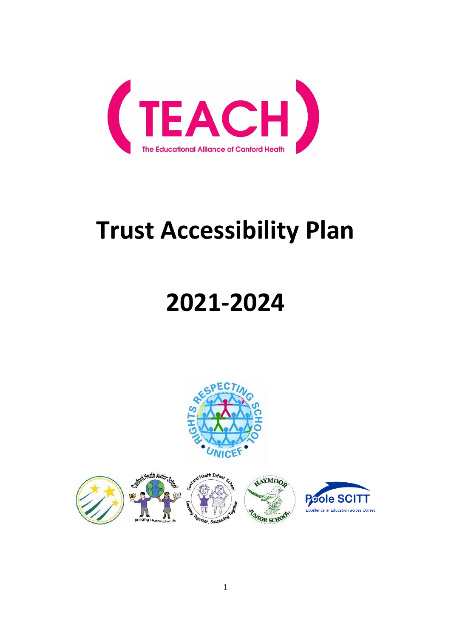

# **Trust Accessibility Plan**

# **2021-2024**



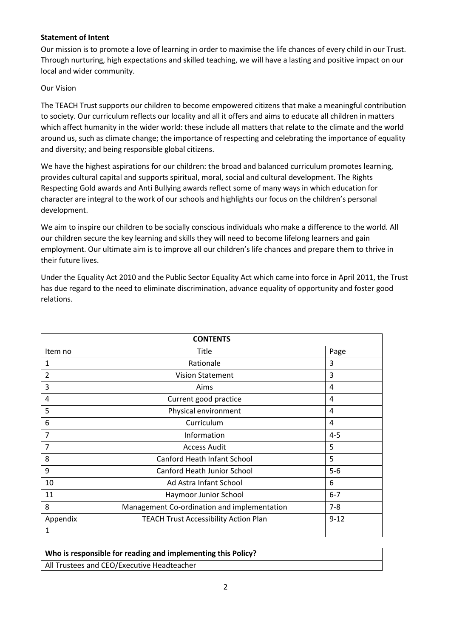#### **Statement of Intent**

Our mission is to promote a love of learning in order to maximise the life chances of every child in our Trust. Through nurturing, high expectations and skilled teaching, we will have a lasting and positive impact on our local and wider community.

#### Our Vision

The TEACH Trust supports our children to become empowered citizens that make a meaningful contribution to society. Our curriculum reflects our locality and all it offers and aims to educate all children in matters which affect humanity in the wider world: these include all matters that relate to the climate and the world around us, such as climate change; the importance of respecting and celebrating the importance of equality and diversity; and being responsible global citizens.

We have the highest aspirations for our children: the broad and balanced curriculum promotes learning, provides cultural capital and supports spiritual, moral, social and cultural development. The Rights Respecting Gold awards and Anti Bullying awards reflect some of many ways in which education for character are integral to the work of our schools and highlights our focus on the children's personal development.

We aim to inspire our children to be socially conscious individuals who make a difference to the world. All our children secure the key learning and skills they will need to become lifelong learners and gain employment. Our ultimate aim is to improve all our children's life chances and prepare them to thrive in their future lives.

Under the Equality Act 2010 and the Public Sector Equality Act which came into force in April 2011, the Trust has due regard to the need to eliminate discrimination, advance equality of opportunity and foster good relations.

| <b>CONTENTS</b> |                                              |          |  |  |
|-----------------|----------------------------------------------|----------|--|--|
| Item no         | Title                                        | Page     |  |  |
| 1               | Rationale                                    | 3        |  |  |
| 2               | <b>Vision Statement</b>                      | 3        |  |  |
| 3               | Aims                                         | 4        |  |  |
| 4               | Current good practice                        | 4        |  |  |
| 5               | Physical environment                         | 4        |  |  |
| 6               | Curriculum                                   | 4        |  |  |
| 7               | Information                                  | $4 - 5$  |  |  |
| 7               | <b>Access Audit</b>                          | 5        |  |  |
| 8               | Canford Heath Infant School                  | 5        |  |  |
| 9               | Canford Heath Junior School                  | $5-6$    |  |  |
| 10              | Ad Astra Infant School                       | 6        |  |  |
| 11              | Haymoor Junior School                        | $6 - 7$  |  |  |
| 8               | Management Co-ordination and implementation  | $7 - 8$  |  |  |
| Appendix        | <b>TEACH Trust Accessibility Action Plan</b> | $9 - 12$ |  |  |
| 1               |                                              |          |  |  |

# **Who is responsible for reading and implementing this Policy?**  All Trustees and CEO/Executive Headteacher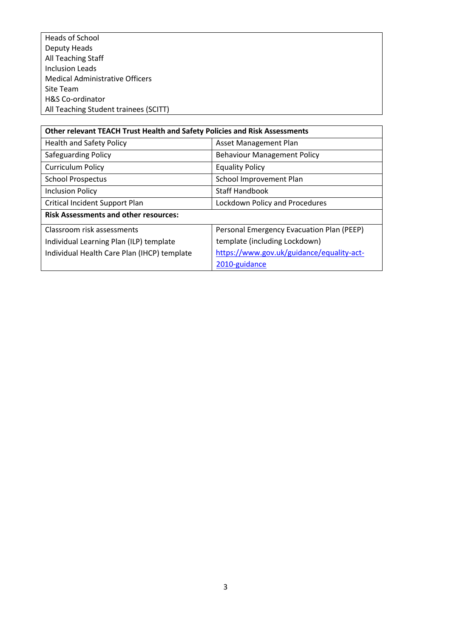Heads of School Deputy Heads All Teaching Staff Inclusion Leads Medical Administrative Officers Site Team H&S Co-ordinator All Teaching Student trainees (SCITT)

| Other relevant TEACH Trust Health and Safety Policies and Risk Assessments |                                           |  |  |  |  |
|----------------------------------------------------------------------------|-------------------------------------------|--|--|--|--|
| <b>Health and Safety Policy</b>                                            | Asset Management Plan                     |  |  |  |  |
| Safeguarding Policy                                                        | <b>Behaviour Management Policy</b>        |  |  |  |  |
| <b>Curriculum Policy</b>                                                   | <b>Equality Policy</b>                    |  |  |  |  |
| <b>School Prospectus</b>                                                   | School Improvement Plan                   |  |  |  |  |
| <b>Inclusion Policy</b>                                                    | <b>Staff Handbook</b>                     |  |  |  |  |
| Critical Incident Support Plan                                             | Lockdown Policy and Procedures            |  |  |  |  |
| <b>Risk Assessments and other resources:</b>                               |                                           |  |  |  |  |
| Classroom risk assessments                                                 | Personal Emergency Evacuation Plan (PEEP) |  |  |  |  |
| Individual Learning Plan (ILP) template                                    | template (including Lockdown)             |  |  |  |  |
| Individual Health Care Plan (IHCP) template                                | https://www.gov.uk/guidance/equality-act- |  |  |  |  |
|                                                                            | 2010-guidance                             |  |  |  |  |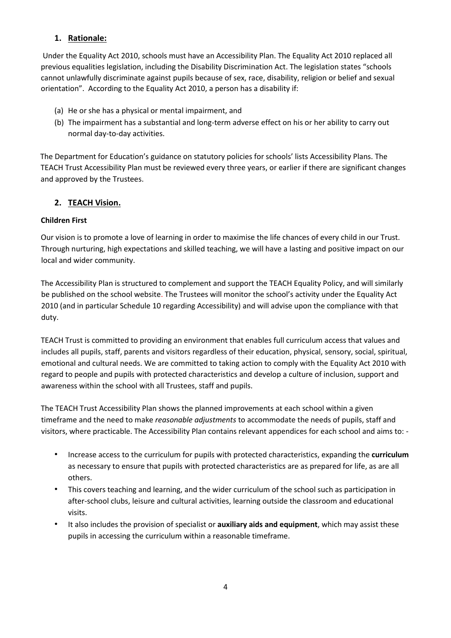# **1. Rationale:**

Under the Equality Act 2010, schools must have an Accessibility Plan. The Equality Act 2010 replaced all previous equalities legislation, including the Disability Discrimination Act. The legislation states "schools cannot unlawfully discriminate against pupils because of sex, race, disability, religion or belief and sexual orientation". According to the Equality Act 2010, a person has a disability if:

- (a) He or she has a physical or mental impairment, and
- (b) The impairment has a substantial and long-term adverse effect on his or her ability to carry out normal day-to-day activities.

The Department for Education's guidance on statutory policies for schools' lists Accessibility Plans. The TEACH Trust Accessibility Plan must be reviewed every three years, or earlier if there are significant changes and approved by the Trustees.

# **2. TEACH Vision.**

# **Children First**

Our vision is to promote a love of learning in order to maximise the life chances of every child in our Trust. Through nurturing, high expectations and skilled teaching, we will have a lasting and positive impact on our local and wider community.

The Accessibility Plan is structured to complement and support the TEACH Equality Policy, and will similarly be published on the school website. The Trustees will monitor the school's activity under the Equality Act 2010 (and in particular Schedule 10 regarding Accessibility) and will advise upon the compliance with that duty.

TEACH Trust is committed to providing an environment that enables full curriculum access that values and includes all pupils, staff, parents and visitors regardless of their education, physical, sensory, social, spiritual, emotional and cultural needs. We are committed to taking action to comply with the Equality Act 2010 with regard to people and pupils with protected characteristics and develop a culture of inclusion, support and awareness within the school with all Trustees, staff and pupils.

The TEACH Trust Accessibility Plan shows the planned improvements at each school within a given timeframe and the need to make *reasonable adjustments* to accommodate the needs of pupils, staff and visitors, where practicable. The Accessibility Plan contains relevant appendices for each school and aims to: -

- Increase access to the curriculum for pupils with protected characteristics, expanding the **curriculum**  as necessary to ensure that pupils with protected characteristics are as prepared for life, as are all others.
- This covers teaching and learning, and the wider curriculum of the school such as participation in after-school clubs, leisure and cultural activities, learning outside the classroom and educational visits.
- It also includes the provision of specialist or **auxiliary aids and equipment**, which may assist these pupils in accessing the curriculum within a reasonable timeframe.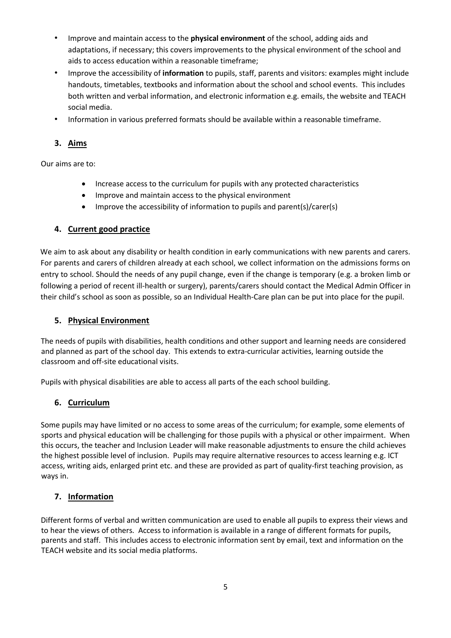- Improve and maintain access to the **physical environment** of the school, adding aids and adaptations, if necessary; this covers improvements to the physical environment of the school and aids to access education within a reasonable timeframe;
- Improve the accessibility of **information** to pupils, staff, parents and visitors: examples might include handouts, timetables, textbooks and information about the school and school events. This includes both written and verbal information, and electronic information e.g. emails, the website and TEACH social media.
- Information in various preferred formats should be available within a reasonable timeframe.

# **3. Aims**

Our aims are to:

- Increase access to the curriculum for pupils with any protected characteristics
- Improve and maintain access to the physical environment
- Improve the accessibility of information to pupils and parent(s)/carer(s)

# **4. Current good practice**

We aim to ask about any disability or health condition in early communications with new parents and carers. For parents and carers of children already at each school, we collect information on the admissions forms on entry to school. Should the needs of any pupil change, even if the change is temporary (e.g. a broken limb or following a period of recent ill-health or surgery), parents/carers should contact the Medical Admin Officer in their child's school as soon as possible, so an Individual Health-Care plan can be put into place for the pupil.

## **5. Physical Environment**

The needs of pupils with disabilities, health conditions and other support and learning needs are considered and planned as part of the school day. This extends to extra-curricular activities, learning outside the classroom and off-site educational visits.

Pupils with physical disabilities are able to access all parts of the each school building.

## **6. Curriculum**

Some pupils may have limited or no access to some areas of the curriculum; for example, some elements of sports and physical education will be challenging for those pupils with a physical or other impairment. When this occurs, the teacher and Inclusion Leader will make reasonable adjustments to ensure the child achieves the highest possible level of inclusion. Pupils may require alternative resources to access learning e.g. ICT access, writing aids, enlarged print etc. and these are provided as part of quality-first teaching provision, as ways in.

# **7. Information**

Different forms of verbal and written communication are used to enable all pupils to express their views and to hear the views of others. Access to information is available in a range of different formats for pupils, parents and staff. This includes access to electronic information sent by email, text and information on the TEACH website and its social media platforms.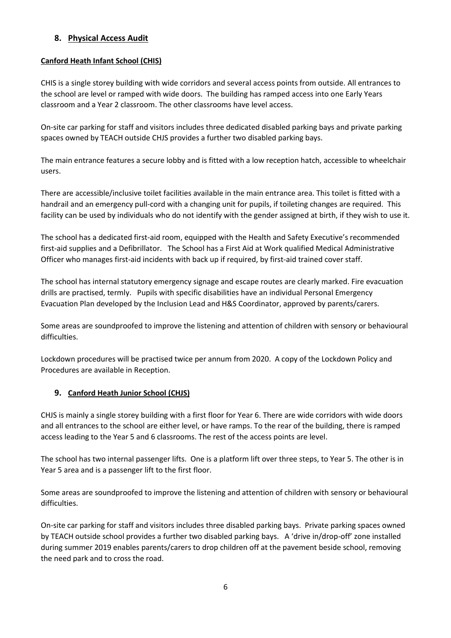# **8. Physical Access Audit**

#### **Canford Heath Infant School (CHIS)**

CHIS is a single storey building with wide corridors and several access points from outside. All entrances to the school are level or ramped with wide doors. The building has ramped access into one Early Years classroom and a Year 2 classroom. The other classrooms have level access.

On-site car parking for staff and visitors includes three dedicated disabled parking bays and private parking spaces owned by TEACH outside CHJS provides a further two disabled parking bays.

The main entrance features a secure lobby and is fitted with a low reception hatch, accessible to wheelchair users.

There are accessible/inclusive toilet facilities available in the main entrance area. This toilet is fitted with a handrail and an emergency pull-cord with a changing unit for pupils, if toileting changes are required. This facility can be used by individuals who do not identify with the gender assigned at birth, if they wish to use it.

The school has a dedicated first-aid room, equipped with the Health and Safety Executive's recommended first-aid supplies and a Defibrillator. The School has a First Aid at Work qualified Medical Administrative Officer who manages first-aid incidents with back up if required, by first-aid trained cover staff.

The school has internal statutory emergency signage and escape routes are clearly marked. Fire evacuation drills are practised, termly. Pupils with specific disabilities have an individual Personal Emergency Evacuation Plan developed by the Inclusion Lead and H&S Coordinator, approved by parents/carers.

Some areas are soundproofed to improve the listening and attention of children with sensory or behavioural difficulties.

Lockdown procedures will be practised twice per annum from 2020. A copy of the Lockdown Policy and Procedures are available in Reception.

## **9. Canford Heath Junior School (CHJS)**

CHJS is mainly a single storey building with a first floor for Year 6. There are wide corridors with wide doors and all entrances to the school are either level, or have ramps. To the rear of the building, there is ramped access leading to the Year 5 and 6 classrooms. The rest of the access points are level.

The school has two internal passenger lifts. One is a platform lift over three steps, to Year 5. The other is in Year 5 area and is a passenger lift to the first floor.

Some areas are soundproofed to improve the listening and attention of children with sensory or behavioural difficulties.

On-site car parking for staff and visitors includes three disabled parking bays. Private parking spaces owned by TEACH outside school provides a further two disabled parking bays. A 'drive in/drop-off' zone installed during summer 2019 enables parents/carers to drop children off at the pavement beside school, removing the need park and to cross the road.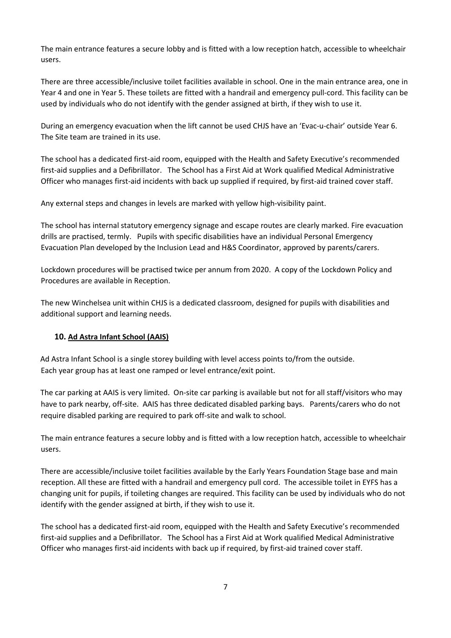The main entrance features a secure lobby and is fitted with a low reception hatch, accessible to wheelchair users.

There are three accessible/inclusive toilet facilities available in school. One in the main entrance area, one in Year 4 and one in Year 5. These toilets are fitted with a handrail and emergency pull-cord. This facility can be used by individuals who do not identify with the gender assigned at birth, if they wish to use it.

During an emergency evacuation when the lift cannot be used CHJS have an 'Evac-u-chair' outside Year 6. The Site team are trained in its use.

The school has a dedicated first-aid room, equipped with the Health and Safety Executive's recommended first-aid supplies and a Defibrillator. The School has a First Aid at Work qualified Medical Administrative Officer who manages first-aid incidents with back up supplied if required, by first-aid trained cover staff.

Any external steps and changes in levels are marked with yellow high-visibility paint.

The school has internal statutory emergency signage and escape routes are clearly marked. Fire evacuation drills are practised, termly. Pupils with specific disabilities have an individual Personal Emergency Evacuation Plan developed by the Inclusion Lead and H&S Coordinator, approved by parents/carers.

Lockdown procedures will be practised twice per annum from 2020. A copy of the Lockdown Policy and Procedures are available in Reception.

The new Winchelsea unit within CHJS is a dedicated classroom, designed for pupils with disabilities and additional support and learning needs.

## **10. Ad Astra Infant School (AAIS)**

Ad Astra Infant School is a single storey building with level access points to/from the outside. Each year group has at least one ramped or level entrance/exit point.

The car parking at AAIS is very limited. On-site car parking is available but not for all staff/visitors who may have to park nearby, off-site. AAIS has three dedicated disabled parking bays. Parents/carers who do not require disabled parking are required to park off-site and walk to school.

The main entrance features a secure lobby and is fitted with a low reception hatch, accessible to wheelchair users.

There are accessible/inclusive toilet facilities available by the Early Years Foundation Stage base and main reception. All these are fitted with a handrail and emergency pull cord. The accessible toilet in EYFS has a changing unit for pupils, if toileting changes are required. This facility can be used by individuals who do not identify with the gender assigned at birth, if they wish to use it.

The school has a dedicated first-aid room, equipped with the Health and Safety Executive's recommended first-aid supplies and a Defibrillator. The School has a First Aid at Work qualified Medical Administrative Officer who manages first-aid incidents with back up if required, by first-aid trained cover staff.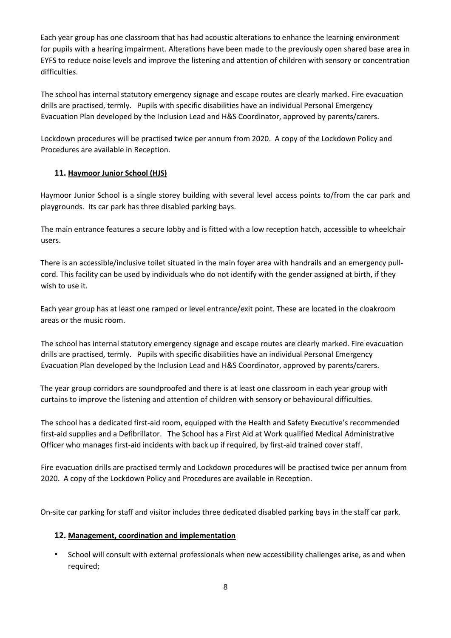Each year group has one classroom that has had acoustic alterations to enhance the learning environment for pupils with a hearing impairment. Alterations have been made to the previously open shared base area in EYFS to reduce noise levels and improve the listening and attention of children with sensory or concentration difficulties.

The school has internal statutory emergency signage and escape routes are clearly marked. Fire evacuation drills are practised, termly. Pupils with specific disabilities have an individual Personal Emergency Evacuation Plan developed by the Inclusion Lead and H&S Coordinator, approved by parents/carers.

Lockdown procedures will be practised twice per annum from 2020. A copy of the Lockdown Policy and Procedures are available in Reception.

## **11. Haymoor Junior School (HJS)**

Haymoor Junior School is a single storey building with several level access points to/from the car park and playgrounds. Its car park has three disabled parking bays.

The main entrance features a secure lobby and is fitted with a low reception hatch, accessible to wheelchair users.

There is an accessible/inclusive toilet situated in the main foyer area with handrails and an emergency pullcord. This facility can be used by individuals who do not identify with the gender assigned at birth, if they wish to use it.

Each year group has at least one ramped or level entrance/exit point. These are located in the cloakroom areas or the music room.

The school has internal statutory emergency signage and escape routes are clearly marked. Fire evacuation drills are practised, termly. Pupils with specific disabilities have an individual Personal Emergency Evacuation Plan developed by the Inclusion Lead and H&S Coordinator, approved by parents/carers.

The year group corridors are soundproofed and there is at least one classroom in each year group with curtains to improve the listening and attention of children with sensory or behavioural difficulties.

The school has a dedicated first-aid room, equipped with the Health and Safety Executive's recommended first-aid supplies and a Defibrillator. The School has a First Aid at Work qualified Medical Administrative Officer who manages first-aid incidents with back up if required, by first-aid trained cover staff.

Fire evacuation drills are practised termly and Lockdown procedures will be practised twice per annum from 2020. A copy of the Lockdown Policy and Procedures are available in Reception.

On-site car parking for staff and visitor includes three dedicated disabled parking bays in the staff car park.

## **12. Management, coordination and implementation**

• School will consult with external professionals when new accessibility challenges arise, as and when required;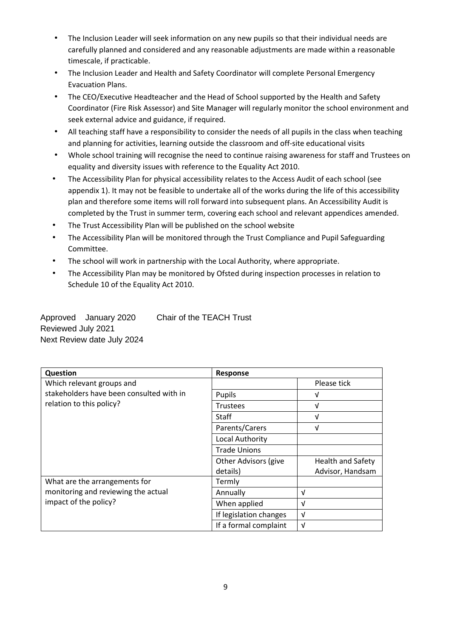- The Inclusion Leader will seek information on any new pupils so that their individual needs are carefully planned and considered and any reasonable adjustments are made within a reasonable timescale, if practicable.
- The Inclusion Leader and Health and Safety Coordinator will complete Personal Emergency Evacuation Plans.
- The CEO/Executive Headteacher and the Head of School supported by the Health and Safety Coordinator (Fire Risk Assessor) and Site Manager will regularly monitor the school environment and seek external advice and guidance, if required.
- All teaching staff have a responsibility to consider the needs of all pupils in the class when teaching and planning for activities, learning outside the classroom and off-site educational visits
- Whole school training will recognise the need to continue raising awareness for staff and Trustees on equality and diversity issues with reference to the Equality Act 2010.
- The Accessibility Plan for physical accessibility relates to the Access Audit of each school (see appendix 1). It may not be feasible to undertake all of the works during the life of this accessibility plan and therefore some items will roll forward into subsequent plans. An Accessibility Audit is completed by the Trust in summer term, covering each school and relevant appendices amended.
- The Trust Accessibility Plan will be published on the school website
- The Accessibility Plan will be monitored through the Trust Compliance and Pupil Safeguarding Committee.
- The school will work in partnership with the Local Authority, where appropriate.
- The Accessibility Plan may be monitored by Ofsted during inspection processes in relation to Schedule 10 of the Equality Act 2010.

Approved January 2020 Chair of the TEACH Trust Reviewed July 2021 Next Review date July 2024

| Question                                 | Response                    |                          |  |  |
|------------------------------------------|-----------------------------|--------------------------|--|--|
| Which relevant groups and                |                             | Please tick              |  |  |
| stakeholders have been consulted with in | Pupils                      | V                        |  |  |
| relation to this policy?                 | <b>Trustees</b>             | V                        |  |  |
|                                          | Staff                       | V                        |  |  |
|                                          | Parents/Carers              | v                        |  |  |
|                                          | Local Authority             |                          |  |  |
|                                          | <b>Trade Unions</b>         |                          |  |  |
|                                          | <b>Other Advisors (give</b> | <b>Health and Safety</b> |  |  |
|                                          | details)                    | Advisor, Handsam         |  |  |
| What are the arrangements for            | Termly                      |                          |  |  |
| monitoring and reviewing the actual      | Annually                    | V                        |  |  |
| impact of the policy?                    | When applied                | $\sqrt{ }$               |  |  |
|                                          | If legislation changes      | $\sqrt{ }$               |  |  |
|                                          | If a formal complaint       | $\sqrt{ }$               |  |  |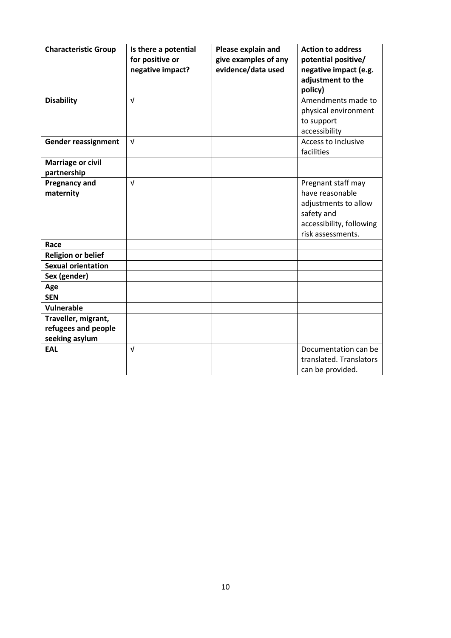| <b>Characteristic Group</b> | Is there a potential | Please explain and   | <b>Action to address</b>   |
|-----------------------------|----------------------|----------------------|----------------------------|
|                             | for positive or      | give examples of any | potential positive/        |
|                             | negative impact?     | evidence/data used   | negative impact (e.g.      |
|                             |                      |                      | adjustment to the          |
|                             |                      |                      | policy)                    |
| <b>Disability</b>           | $\sqrt{ }$           |                      | Amendments made to         |
|                             |                      |                      | physical environment       |
|                             |                      |                      | to support                 |
|                             |                      |                      | accessibility              |
| <b>Gender reassignment</b>  | $\sqrt{ }$           |                      | <b>Access to Inclusive</b> |
|                             |                      |                      | facilities                 |
| <b>Marriage or civil</b>    |                      |                      |                            |
| partnership                 |                      |                      |                            |
| <b>Pregnancy and</b>        | $\sqrt{ }$           |                      | Pregnant staff may         |
| maternity                   |                      |                      | have reasonable            |
|                             |                      |                      | adjustments to allow       |
|                             |                      |                      | safety and                 |
|                             |                      |                      | accessibility, following   |
|                             |                      |                      | risk assessments.          |
| Race                        |                      |                      |                            |
| <b>Religion or belief</b>   |                      |                      |                            |
| <b>Sexual orientation</b>   |                      |                      |                            |
| Sex (gender)                |                      |                      |                            |
| Age                         |                      |                      |                            |
| <b>SEN</b>                  |                      |                      |                            |
| Vulnerable                  |                      |                      |                            |
| Traveller, migrant,         |                      |                      |                            |
| refugees and people         |                      |                      |                            |
| seeking asylum              |                      |                      |                            |
| <b>EAL</b>                  | $\sqrt{ }$           |                      | Documentation can be       |
|                             |                      |                      | translated. Translators    |
|                             |                      |                      | can be provided.           |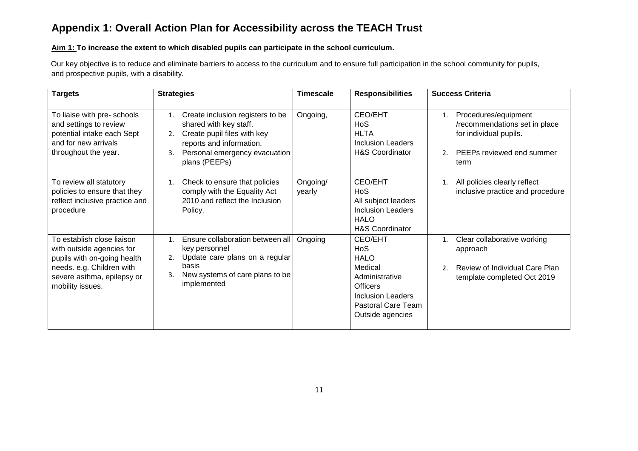# **Appendix 1: Overall Action Plan for Accessibility across the TEACH Trust**

#### **Aim 1: To increase the extent to which disabled pupils can participate in the school curriculum.**

Our key objective is to reduce and eliminate barriers to access to the curriculum and to ensure full participation in the school community for pupils, and prospective pupils, with a disability.

| <b>Targets</b>                                                                                                                                                        | <b>Strategies</b>                                                                                                                                                                         | <b>Timescale</b>   | <b>Responsibilities</b>                                                                                                                                          | <b>Success Criteria</b>                                                                                                                      |
|-----------------------------------------------------------------------------------------------------------------------------------------------------------------------|-------------------------------------------------------------------------------------------------------------------------------------------------------------------------------------------|--------------------|------------------------------------------------------------------------------------------------------------------------------------------------------------------|----------------------------------------------------------------------------------------------------------------------------------------------|
| To liaise with pre- schools<br>and settings to review<br>potential intake each Sept<br>and for new arrivals<br>throughout the year.                                   | Create inclusion registers to be<br>1.<br>shared with key staff.<br>Create pupil files with key<br>2.<br>reports and information.<br>Personal emergency evacuation<br>3.<br>plans (PEEPs) | Ongoing,           | CEO/EHT<br>H <sub>o</sub> S<br><b>HLTA</b><br><b>Inclusion Leaders</b><br><b>H&amp;S Coordinator</b>                                                             | Procedures/equipment<br>1.<br>/recommendations set in place<br>for individual pupils.<br>PEEPs reviewed end summer<br>2 <sub>1</sub><br>term |
| To review all statutory<br>policies to ensure that they<br>reflect inclusive practice and<br>procedure                                                                | Check to ensure that policies<br>1.<br>comply with the Equality Act<br>2010 and reflect the Inclusion<br>Policy.                                                                          | Ongoing/<br>yearly | CEO/EHT<br>H <sub>o</sub> S<br>All subject leaders<br><b>Inclusion Leaders</b><br><b>HALO</b><br><b>H&amp;S Coordinator</b>                                      | All policies clearly reflect<br>1.<br>inclusive practice and procedure                                                                       |
| To establish close liaison<br>with outside agencies for<br>pupils with on-going health<br>needs. e.g. Children with<br>severe asthma, epilepsy or<br>mobility issues. | Ensure collaboration between all<br>1.<br>key personnel<br>Update care plans on a regular<br>2.<br>basis<br>New systems of care plans to be<br>3.<br>implemented                          | Ongoing            | CEO/EHT<br>H <sub>o</sub> S<br><b>HALO</b><br>Medical<br>Administrative<br><b>Officers</b><br><b>Inclusion Leaders</b><br>Pastoral Care Team<br>Outside agencies | Clear collaborative working<br>1.<br>approach<br>Review of Individual Care Plan<br>2 <sub>1</sub><br>template completed Oct 2019             |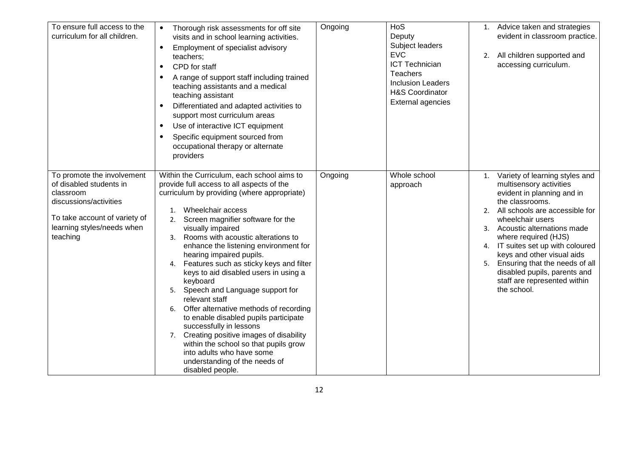| To ensure full access to the<br>curriculum for all children.                                                                                                            | Thorough risk assessments for off site<br>visits and in school learning activities.<br>Employment of specialist advisory<br>$\bullet$<br>teachers;<br>CPD for staff<br>$\bullet$<br>A range of support staff including trained<br>$\bullet$<br>teaching assistants and a medical<br>teaching assistant<br>Differentiated and adapted activities to<br>support most curriculum areas<br>Use of interactive ICT equipment<br>$\bullet$<br>Specific equipment sourced from<br>$\bullet$<br>occupational therapy or alternate<br>providers                                                                                                                                                                                                                                                                             | Ongoing | HoS<br>Deputy<br>Subject leaders<br><b>EVC</b><br><b>ICT Technician</b><br><b>Teachers</b><br><b>Inclusion Leaders</b><br><b>H&amp;S Coordinator</b><br><b>External agencies</b> |          | 1. Advice taken and strategies<br>evident in classroom practice.<br>2. All children supported and<br>accessing curriculum.                                                                                                                                                                                                                                                                                       |
|-------------------------------------------------------------------------------------------------------------------------------------------------------------------------|--------------------------------------------------------------------------------------------------------------------------------------------------------------------------------------------------------------------------------------------------------------------------------------------------------------------------------------------------------------------------------------------------------------------------------------------------------------------------------------------------------------------------------------------------------------------------------------------------------------------------------------------------------------------------------------------------------------------------------------------------------------------------------------------------------------------|---------|----------------------------------------------------------------------------------------------------------------------------------------------------------------------------------|----------|------------------------------------------------------------------------------------------------------------------------------------------------------------------------------------------------------------------------------------------------------------------------------------------------------------------------------------------------------------------------------------------------------------------|
| To promote the involvement<br>of disabled students in<br>classroom<br>discussions/activities<br>To take account of variety of<br>learning styles/needs when<br>teaching | Within the Curriculum, each school aims to<br>provide full access to all aspects of the<br>curriculum by providing (where appropriate)<br>Wheelchair access<br>1.<br>Screen magnifier software for the<br>2.<br>visually impaired<br>Rooms with acoustic alterations to<br>3.<br>enhance the listening environment for<br>hearing impaired pupils.<br>Features such as sticky keys and filter<br>4.<br>keys to aid disabled users in using a<br>keyboard<br>Speech and Language support for<br>5.<br>relevant staff<br>Offer alternative methods of recording<br>6.<br>to enable disabled pupils participate<br>successfully in lessons<br>Creating positive images of disability<br>7.<br>within the school so that pupils grow<br>into adults who have some<br>understanding of the needs of<br>disabled people. | Ongoing | Whole school<br>approach                                                                                                                                                         | 1.<br>2. | Variety of learning styles and<br>multisensory activities<br>evident in planning and in<br>the classrooms.<br>All schools are accessible for<br>wheelchair users<br>3. Acoustic alternations made<br>where required (HJS)<br>4. IT suites set up with coloured<br>keys and other visual aids<br>5. Ensuring that the needs of all<br>disabled pupils, parents and<br>staff are represented within<br>the school. |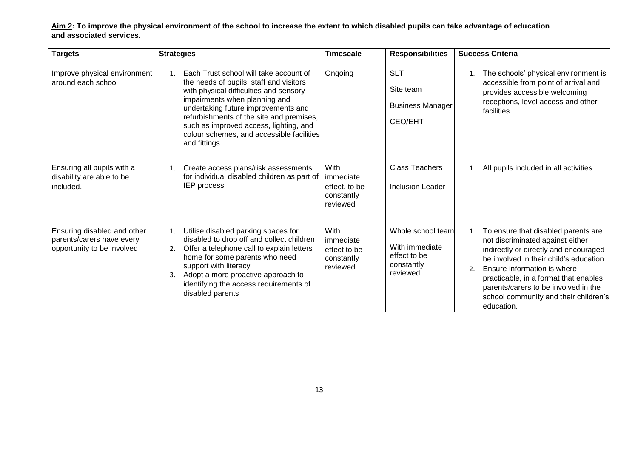**Aim 2: To improve the physical environment of the school to increase the extent to which disabled pupils can take advantage of education and associated services.** 

| <b>Targets</b>                                                                         | <b>Strategies</b>                                                                                                                                                                                                                                                                                                                                             | <b>Timescale</b><br><b>Responsibilities</b>                  |                                                                               | <b>Success Criteria</b>                                                                                                                                                                                                                                                                                                                       |  |  |
|----------------------------------------------------------------------------------------|---------------------------------------------------------------------------------------------------------------------------------------------------------------------------------------------------------------------------------------------------------------------------------------------------------------------------------------------------------------|--------------------------------------------------------------|-------------------------------------------------------------------------------|-----------------------------------------------------------------------------------------------------------------------------------------------------------------------------------------------------------------------------------------------------------------------------------------------------------------------------------------------|--|--|
| Improve physical environment<br>around each school                                     | Each Trust school will take account of<br>1.<br>the needs of pupils, staff and visitors<br>with physical difficulties and sensory<br>impairments when planning and<br>undertaking future improvements and<br>refurbishments of the site and premises,<br>such as improved access, lighting, and<br>colour schemes, and accessible facilities<br>and fittings. | Ongoing                                                      | <b>SLT</b><br>Site team<br><b>Business Manager</b><br><b>CEO/EHT</b>          | The schools' physical environment is<br>1.<br>accessible from point of arrival and<br>provides accessible welcoming<br>receptions, level access and other<br>facilities.                                                                                                                                                                      |  |  |
| Ensuring all pupils with a<br>disability are able to be<br>included.                   | Create access plans/risk assessments<br>1.<br>for individual disabled children as part of<br><b>IEP</b> process                                                                                                                                                                                                                                               | With<br>immediate<br>effect, to be<br>constantly<br>reviewed | <b>Class Teachers</b><br>Inclusion Leader                                     | All pupils included in all activities.                                                                                                                                                                                                                                                                                                        |  |  |
| Ensuring disabled and other<br>parents/carers have every<br>opportunity to be involved | Utilise disabled parking spaces for<br>1.<br>disabled to drop off and collect children<br>Offer a telephone call to explain letters<br>2.<br>home for some parents who need<br>support with literacy<br>Adopt a more proactive approach to<br>3.<br>identifying the access requirements of<br>disabled parents                                                | With<br>immediate<br>effect to be<br>constantly<br>reviewed  | Whole school team<br>With immediate<br>effect to be<br>constantly<br>reviewed | To ensure that disabled parents are<br>1.<br>not discriminated against either<br>indirectly or directly and encouraged<br>be involved in their child's education<br>Ensure information is where<br>2.<br>practicable, in a format that enables<br>parents/carers to be involved in the<br>school community and their children's<br>education. |  |  |